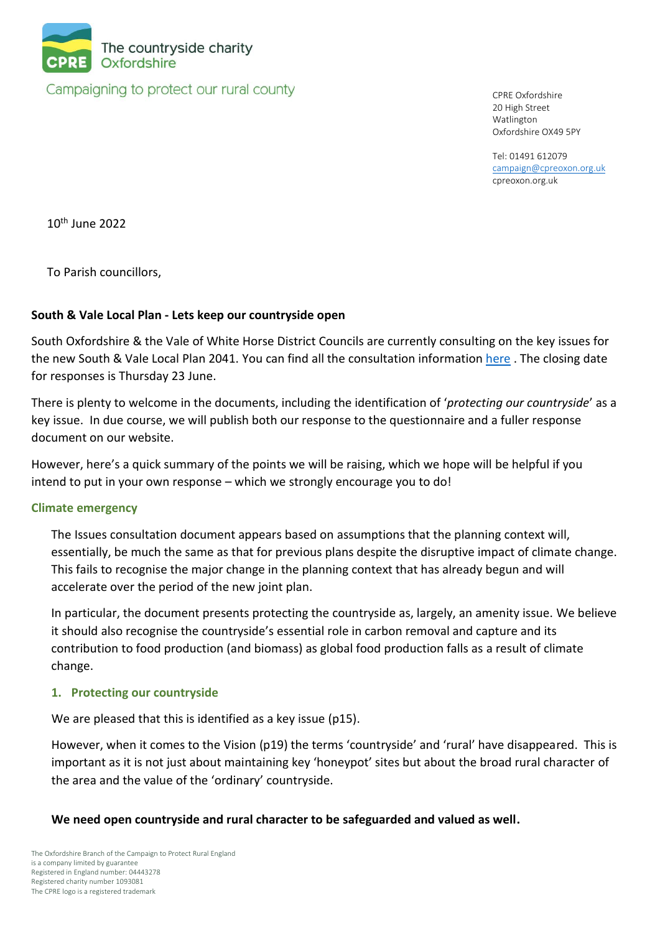

Campaigning to protect our rural county

CPRE Oxfordshire 20 High Street Watlington Oxfordshire OX49 5PY

Tel: 01491 612079 [campaign@cpreoxon.org.uk](mailto:campaign@cpreoxon.org.uk) cpreoxon.org.uk

10th June 2022

To Parish councillors,

## **South & Vale Local Plan - Lets keep our countryside open**

South Oxfordshire & the Vale of White Horse District Councils are currently consulting on the key issues for the new South & Vale Local Plan 2041. You can find all the consultation information [here](https://www.southoxon.gov.uk/south-oxfordshire-district-council/planning-and-development/local-plan-and-planning-policies/local-plan-2041/). The closing date for responses is Thursday 23 June.

There is plenty to welcome in the documents, including the identification of '*protecting our countryside*' as a key issue. In due course, we will publish both our response to the questionnaire and a fuller response document on our website.

However, here's a quick summary of the points we will be raising, which we hope will be helpful if you intend to put in your own response – which we strongly encourage you to do!

## **Climate emergency**

The Issues consultation document appears based on assumptions that the planning context will, essentially, be much the same as that for previous plans despite the disruptive impact of climate change. This fails to recognise the major change in the planning context that has already begun and will accelerate over the period of the new joint plan.

In particular, the document presents protecting the countryside as, largely, an amenity issue. We believe it should also recognise the countryside's essential role in carbon removal and capture and its contribution to food production (and biomass) as global food production falls as a result of climate change.

## **1. Protecting our countryside**

We are pleased that this is identified as a key issue (p15).

However, when it comes to the Vision (p19) the terms 'countryside' and 'rural' have disappeared. This is important as it is not just about maintaining key 'honeypot' sites but about the broad rural character of the area and the value of the 'ordinary' countryside.

## **We need open countryside and rural character to be safeguarded and valued as well.**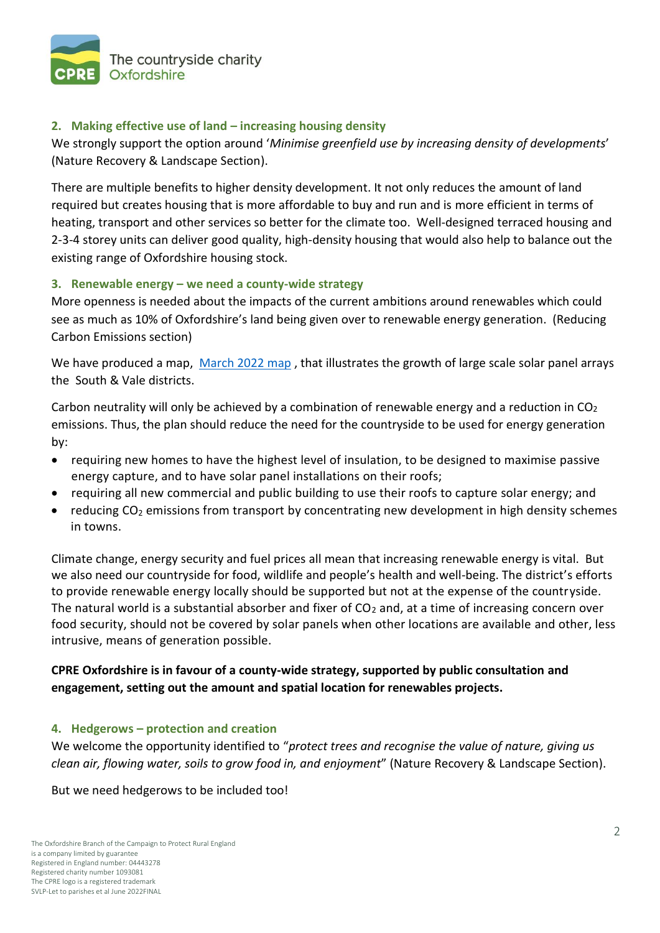

# **2. Making effective use of land – increasing housing density**

We strongly support the option around '*Minimise greenfield use by increasing density of developments*' (Nature Recovery & Landscape Section).

There are multiple benefits to higher density development. It not only reduces the amount of land required but creates housing that is more affordable to buy and run and is more efficient in terms of heating, transport and other services so better for the climate too. Well-designed terraced housing and 2-3-4 storey units can deliver good quality, high-density housing that would also help to balance out the existing range of Oxfordshire housing stock.

# **3. Renewable energy – we need a county-wide strategy**

More openness is needed about the impacts of the current ambitions around renewables which could see as much as 10% of Oxfordshire's land being given over to renewable energy generation. (Reducing Carbon Emissions section)

We have produced a map, [March 2022 map](https://www.cpreoxon.org.uk/news/cpre-calls-for-county-wide-renewable-energy-strategy/), that illustrates the growth of large scale solar panel arrays the South & Vale districts.

Carbon neutrality will only be achieved by a combination of renewable energy and a reduction in  $CO<sub>2</sub>$ emissions. Thus, the plan should reduce the need for the countryside to be used for energy generation by:

- requiring new homes to have the highest level of insulation, to be designed to maximise passive energy capture, and to have solar panel installations on their roofs;
- requiring all new commercial and public building to use their roofs to capture solar energy; and
- reducing CO<sup>2</sup> emissions from transport by concentrating new development in high density schemes in towns.

Climate change, energy security and fuel prices all mean that increasing renewable energy is vital. But we also need our countryside for food, wildlife and people's health and well-being. The district's efforts to provide renewable energy locally should be supported but not at the expense of the countryside. The natural world is a substantial absorber and fixer of  $CO<sub>2</sub>$  and, at a time of increasing concern over food security, should not be covered by solar panels when other locations are available and other, less intrusive, means of generation possible.

# **CPRE Oxfordshire is in favour of a county-wide strategy, supported by public consultation and engagement, setting out the amount and spatial location for renewables projects.**

## **4. Hedgerows – protection and creation**

We welcome the opportunity identified to "*protect trees and recognise the value of nature, giving us clean air, flowing water, soils to grow food in, and enjoyment*" (Nature Recovery & Landscape Section).

But we need hedgerows to be included too!